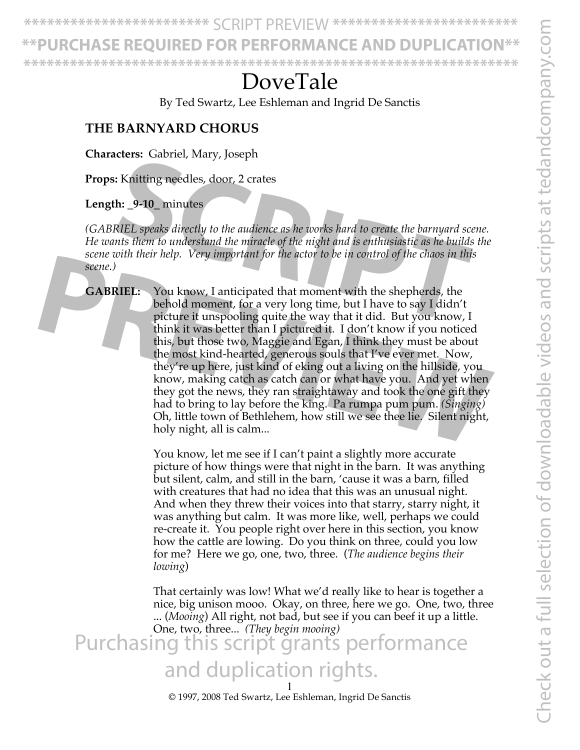Check out a full selection of downloadable videos and scripts at tedandcompany.com Check out a full selection of downloadable videos and scripts at tedandcompany.con

**\*\*\*\*\*\*\*\*\*\*\*\*\*\*\*\*\*\*\*\*\*\*\*\*** SCRIPT PREVIEW **\*\*\*\*\*\*\*\*\*\*\*\*\*\*\*\*\*\*\*\*\*\*\*\***

URCHASE REOUIRED FOR PERFORMANCE AND

**\*\*\*\*\*\*\*\*\*\*\*\*\*\*\*\*\*\*\*\*\*\*\*\*\*\*\*\*\*\*\*\*\*\*\*\*\*\*\*\*\*\*\*\*\*\*\*\*\*\*\*\*\*\*\*\*\*\*\*\*\*\*\*\***

# DoveTale

By Ted Swartz, Lee Eshleman and Ingrid De Sanctis

#### **THE BARNYARD CHORUS**

**Characters:** Gabriel, Mary, Joseph

**Props:** Knitting needles, door, 2 crates

#### **Length: \_9-10\_** minutes

*(GABRIEL speaks directly to the audience as he works hard to create the barnyard scene. He wants them to understand the miracle of the night and is enthusiastic as he builds the scene with their help. Very important for the actor to be in control of the chaos in this scene.)* **SCRIET SEARCH SCRIPT SEARCH CONTROLLER SEARCH SCRIPT SEARCH SCRIPT AND MINOR SEARCH SPEAKS directly to the audience as he works hard to create the barnyard scents them to understand the miracle of the night and is enthusi** 

**GABRIEL:** You know, I anticipated that moment with the shepherds, the behold moment, for a very long time, but I have to say I didn't picture it unspooling quite the way that it did. But you know, I think it was better than I pictured it. I don't know if you noticed this, but those two, Maggie and Egan, I think they must be about the most kind-hearted, generous souls that I've ever met. Now, they're up here, just kind of eking out a living on the hillside, you know, making catch as catch can or what have you. And yet when they got the news, they ran straightaway and took the one gift they had to bring to lay before the king. Pa rumpa pum pum. *(Singing)* Oh, little town of Bethlehem, how still we see thee lie. Silent night, holy night, all is calm... **PROPERTIEL:** You know, I anticipated that moment with the shepherds, the behold moment, for a very long time, but I have to say I didn't picture it unspooling quite the way that it did. But you know, I think it was better

You know, let me see if I can't paint a slightly more accurate picture of how things were that night in the barn. It was anything but silent, calm, and still in the barn, 'cause it was a barn, filled with creatures that had no idea that this was an unusual night. And when they threw their voices into that starry, starry night, it was anything but calm. It was more like, well, perhaps we could re-create it. You people right over here in this section, you know how the cattle are lowing. Do you think on three, could you low for me? Here we go, one, two, three. (*The audience begins their lowing*)

That certainly was low! What we'd really like to hear is together a nice, big unison mooo. Okay, on three, here we go. One, two, three ... (*Mooing*) All right, not bad, but see if you can beef it up a little. One, two, three... *(They begin mooing)*  Purchasing this script grants performance and duplication rights.

© 1997, 2008 Ted Swartz, Lee Eshleman, Ingrid De Sanctis 1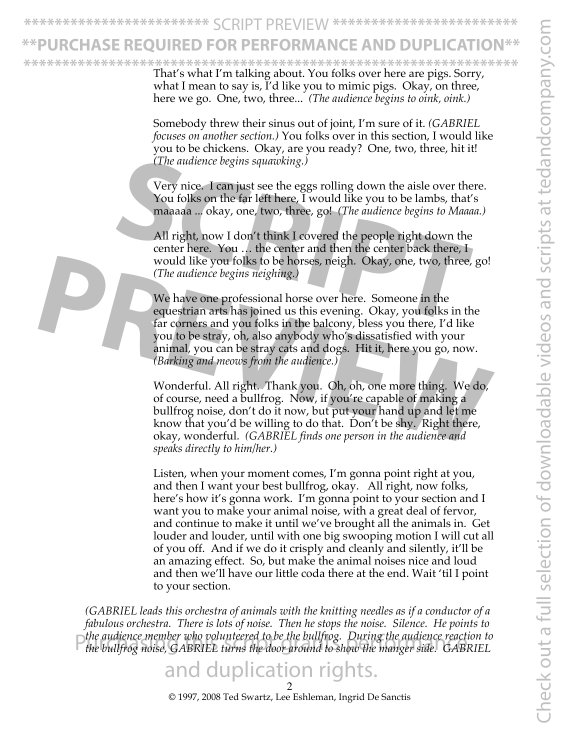**\*\*\*\*\*\*\*\*\*\*\*\*\*\*\*\*\*\*\*\*\*\*\*\*** SCRIPT PREVIEW **\*\*\*\*\*\*\*\*\*\*\*\*\*\*\*\*\*\*\*\*\*\*\*\***

## <u>EHASE REOUIRED FOR PERFORMANCE AND DU</u>

That's what I'm talking about. You folks over here are pigs. Sorry, what I mean to say is, I'd like you to mimic pigs. Okay, on three, here we go. One, two, three... *(The audience begins to oink, oink.)*  **\*\*\*\*\*\*\*\*\*\*\*\*\*\*\*\*\*\*\*\*\*\*\*\*\*\*\*\*\*\*\*\*\*\*\*\*\*\*\*\*\*\*\*\*\*\*\*\*\*\*\*\*\*\*\*\*\*\*\*\*\*\*\*\***

> Somebody threw their sinus out of joint, I'm sure of it. *(GABRIEL focuses on another section.)* You folks over in this section, I would like you to be chickens. Okay, are you ready? One, two, three, hit it! *(The audience begins squawking.)*

Very nice. I can just see the eggs rolling down the aisle over there. You folks on the far left here, I would like you to be lambs, that's maaaaa ... okay, one, two, three, go! *(The audience begins to Maaaa.)*

All right, now I don't think I covered the people right down the center here. You  $\ldots$  the center and then the center back there, I would like you folks to be horses, neigh. Okay, one, two, three, go! *(The audience begins neighing.)*  The audience begins squawking.)<br>
Very nice. I can just see the eggs rolling down the aisle over ther<br>
You folks on the far left here, I would like you to be lambs, that's<br>
maaaaa ... okay, one, two, three, go! (*The audien* 

We have one professional horse over here. Someone in the equestrian arts has joined us this evening. Okay, you folks in the far corners and you folks in the balcony, bless you there, I'd like you to be stray, oh, also anybody who's dissatisfied with your animal, you can be stray cats and dogs. Hit it, here you go, now. *(Barking and meows from the audience.)*  would like you folks to be horses, neigh. Okay, one, two, three, go!<br> *PREVIEW The audience begins neighing.*<br>
We have one professional horse over here. Someone in the equestrian arts has joined us this evening. Okay, you

Wonderful. All right. Thank you. Oh, oh, one more thing. We do, of course, need a bullfrog. Now, if you're capable of making a bullfrog noise, don't do it now, but put your hand up and let me know that you'd be willing to do that. Don't be shy. Right there, okay, wonderful. *(GABRIEL finds one person in the audience and speaks directly to him/her.)*

Listen, when your moment comes, I'm gonna point right at you, and then I want your best bullfrog, okay. All right, now folks, here's how it's gonna work. I'm gonna point to your section and I want you to make your animal noise, with a great deal of fervor, and continue to make it until we've brought all the animals in. Get louder and louder, until with one big swooping motion I will cut all of you off. And if we do it crisply and cleanly and silently, it'll be an amazing effect. So, but make the animal noises nice and loud and then we'll have our little coda there at the end. Wait 'til I point to your section.

*(GABRIEL leads this orchestra of animals with the knitting needles as if a conductor of a fabulous orchestra. There is lots of noise. Then he stops the noise. Silence. He points to the audience member who volunteered to be the bullfrog. During the audience reaction to*  the audience member who volunteered to be the bullfrog. During the audience reaction to<br>the bullfrog noise, GABRIEL turns the door around to show the manger side. GABRIEL

### duplication rights.

© 1997, 2008 Ted Swartz, Lee Eshleman, Ingrid De Sanctis 2